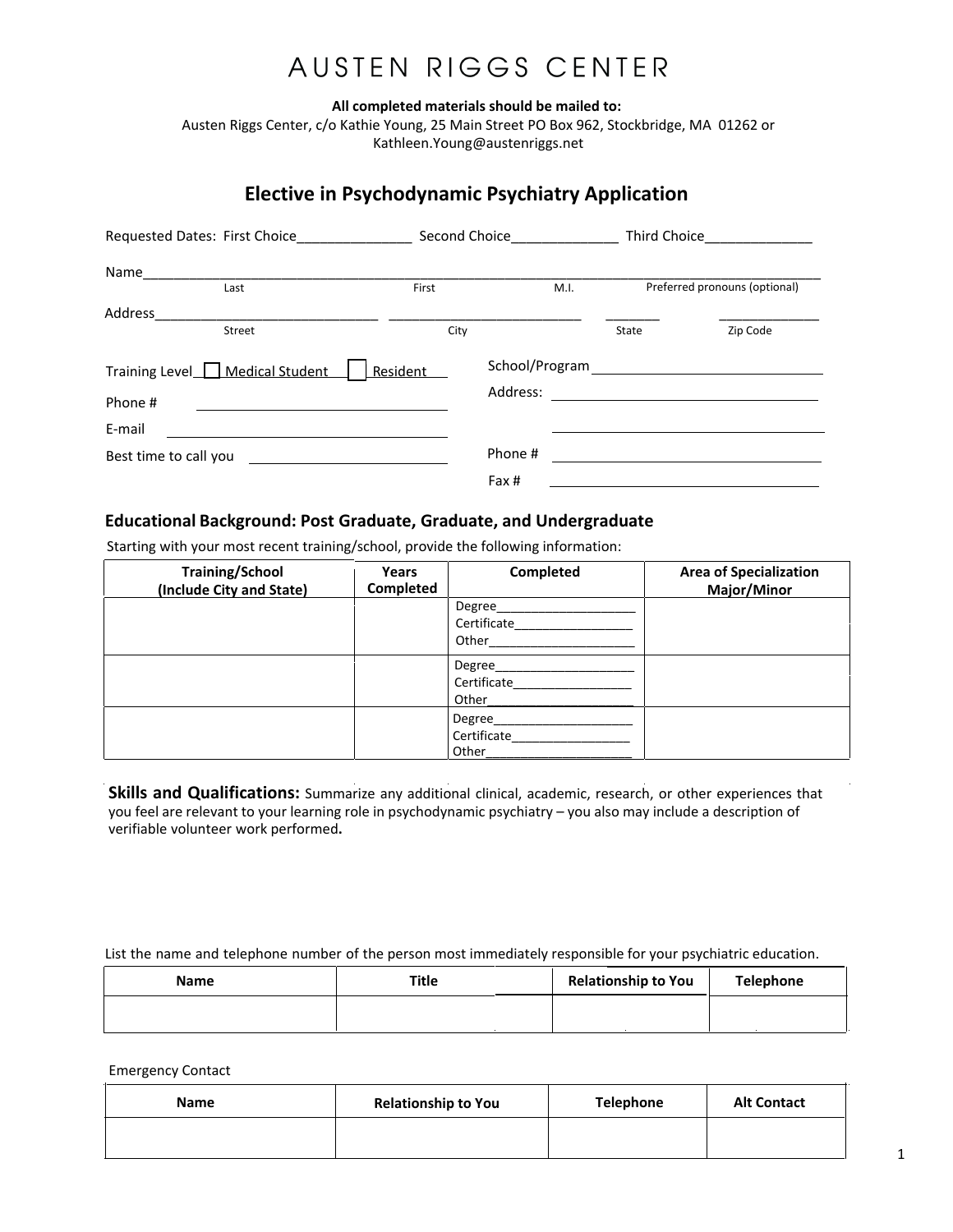## AUSTEN RIGGS CENTER

All completed materials should be mailed to:

Austen Riggs Center, c/o Kathie Young, 25 Main Street PO Box 962, Stockbridge, MA 01262 or Kathleen.Young@austenriggs.net

### **Elective in Psychodynamic Psychiatry Application**

| Requested Dates: First Choice               |        | Second Choice |                            | Third Choice |                               |
|---------------------------------------------|--------|---------------|----------------------------|--------------|-------------------------------|
| Name                                        |        |               |                            |              |                               |
|                                             | Last   | First         | M.I.                       |              | Preferred pronouns (optional) |
| <b>Address</b>                              | Street | City          |                            | State        | Zip Code                      |
| Training Level   Medical Student<br>Phone # |        | Resident      | School/Program<br>Address: |              |                               |
| E-mail                                      |        |               |                            |              |                               |
| Best time to call you                       |        |               | Phone #                    |              |                               |
|                                             |        |               | Fax #                      |              |                               |

#### **Educational Background: Post Graduate, Graduate, and Undergraduate**

Starting with your most recent training/school, provide the following information:

| <b>Training/School</b><br>(Include City and State) | Years<br>Completed | Completed                      | <b>Area of Specialization</b><br>Major/Minor |
|----------------------------------------------------|--------------------|--------------------------------|----------------------------------------------|
|                                                    |                    | Degree<br>Certificate<br>Other |                                              |
|                                                    |                    | Degree<br>Certificate<br>Other |                                              |
|                                                    |                    | Degree<br>Certificate<br>Other |                                              |

Skills and Qualifications: Summarize any additional clinical, academic, research, or other experiences that you feel are relevant to your learning role in psychodynamic psychiatry - you also may include a description of verifiable volunteer work performed.

List the name and telephone number of the person most immediately responsible for your psychiatric education.

| <b>Name</b> | Title | <b>Relationship to You</b> | Telephone |
|-------------|-------|----------------------------|-----------|
|             |       |                            |           |

**Emergency Contact** 

| <b>Name</b> | <b>Relationship to You</b> | Telephone | <b>Alt Contact</b> |
|-------------|----------------------------|-----------|--------------------|
|             |                            |           |                    |